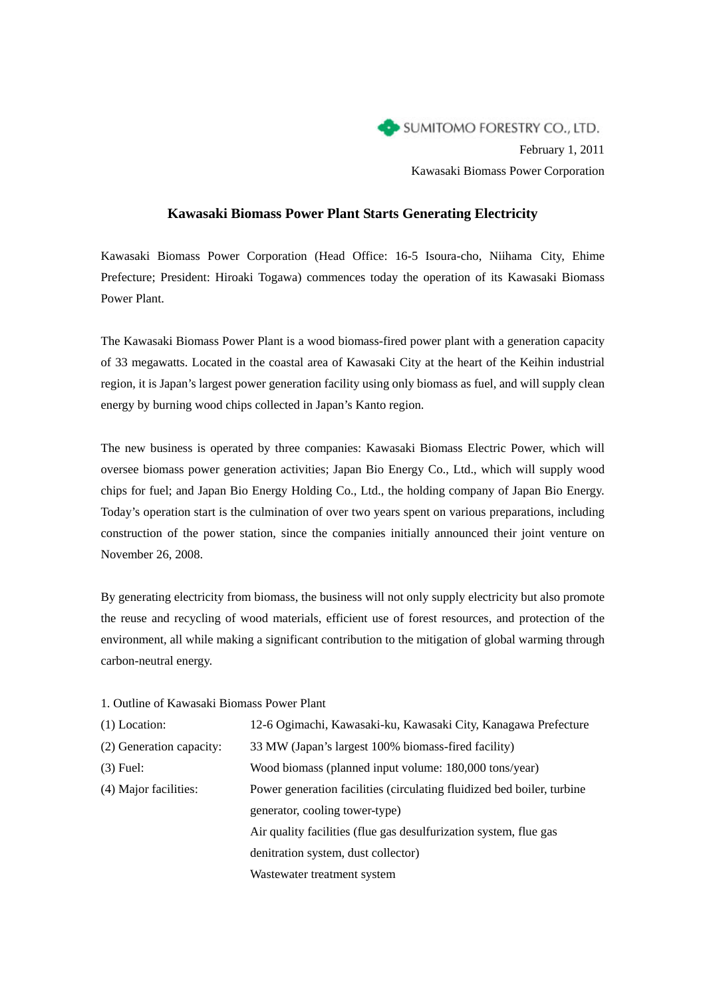# **Kawasaki Biomass Power Plant Starts Generating Electricity**

Kawasaki Biomass Power Corporation (Head Office: 16-5 Isoura-cho, Niihama City, Ehime Prefecture; President: Hiroaki Togawa) commences today the operation of its Kawasaki Biomass Power Plant.

The Kawasaki Biomass Power Plant is a wood biomass-fired power plant with a generation capacity of 33 megawatts. Located in the coastal area of Kawasaki City at the heart of the Keihin industrial region, it is Japan's largest power generation facility using only biomass as fuel, and will supply clean energy by burning wood chips collected in Japan's Kanto region.

The new business is operated by three companies: Kawasaki Biomass Electric Power, which will oversee biomass power generation activities; Japan Bio Energy Co., Ltd., which will supply wood chips for fuel; and Japan Bio Energy Holding Co., Ltd., the holding company of Japan Bio Energy. Today's operation start is the culmination of over two years spent on various preparations, including construction of the power station, since the companies initially announced their joint venture on November 26, 2008.

By generating electricity from biomass, the business will not only supply electricity but also promote the reuse and recycling of wood materials, efficient use of forest resources, and protection of the environment, all while making a significant contribution to the mitigation of global warming through carbon-neutral energy.

1. Outline of Kawasaki Biomass Power Plant

| $(1)$ Location:          | 12-6 Ogimachi, Kawasaki-ku, Kawasaki City, Kanagawa Prefecture         |
|--------------------------|------------------------------------------------------------------------|
| (2) Generation capacity: | 33 MW (Japan's largest 100% biomass-fired facility)                    |
| $(3)$ Fuel:              | Wood biomass (planned input volume: 180,000 tons/year)                 |
| (4) Major facilities:    | Power generation facilities (circulating fluidized bed boiler, turbine |
|                          | generator, cooling tower-type)                                         |
|                          | Air quality facilities (flue gas desulfurization system, flue gas      |
|                          | denitration system, dust collector)                                    |
|                          | Wastewater treatment system                                            |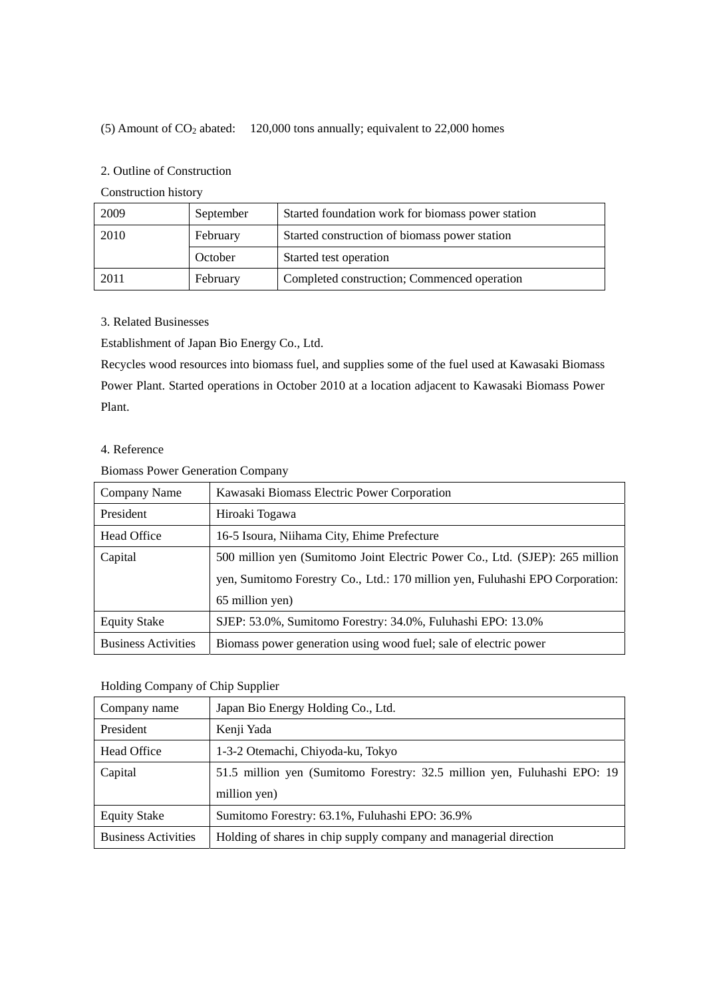## (5) Amount of  $CO_2$  abated: 120,000 tons annually; equivalent to 22,000 homes

## 2. Outline of Construction

Construction history

| 2009 | September | Started foundation work for biomass power station |
|------|-----------|---------------------------------------------------|
| 2010 | February  | Started construction of biomass power station     |
|      | October   | Started test operation                            |
| 2011 | February  | Completed construction; Commenced operation       |

## 3. Related Businesses

Establishment of Japan Bio Energy Co., Ltd.

Recycles wood resources into biomass fuel, and supplies some of the fuel used at Kawasaki Biomass Power Plant. Started operations in October 2010 at a location adjacent to Kawasaki Biomass Power Plant.

### 4. Reference

#### Biomass Power Generation Company

| Company Name               | Kawasaki Biomass Electric Power Corporation                                   |
|----------------------------|-------------------------------------------------------------------------------|
| President                  | Hiroaki Togawa                                                                |
| <b>Head Office</b>         | 16-5 Isoura, Niihama City, Ehime Prefecture                                   |
| Capital                    | 500 million yen (Sumitomo Joint Electric Power Co., Ltd. (SJEP): 265 million  |
|                            | yen, Sumitomo Forestry Co., Ltd.: 170 million yen, Fuluhashi EPO Corporation: |
|                            | 65 million yen)                                                               |
| <b>Equity Stake</b>        | SJEP: 53.0%, Sumitomo Forestry: 34.0%, Fuluhashi EPO: 13.0%                   |
| <b>Business Activities</b> | Biomass power generation using wood fuel; sale of electric power              |

## Holding Company of Chip Supplier

| Company name               | Japan Bio Energy Holding Co., Ltd.                                       |
|----------------------------|--------------------------------------------------------------------------|
| President                  | Kenji Yada                                                               |
| <b>Head Office</b>         | 1-3-2 Otemachi, Chiyoda-ku, Tokyo                                        |
| Capital                    | 51.5 million yen (Sumitomo Forestry: 32.5 million yen, Fuluhashi EPO: 19 |
|                            | million yen)                                                             |
| <b>Equity Stake</b>        | Sumitomo Forestry: 63.1%, Fuluhashi EPO: 36.9%                           |
| <b>Business Activities</b> | Holding of shares in chip supply company and managerial direction        |